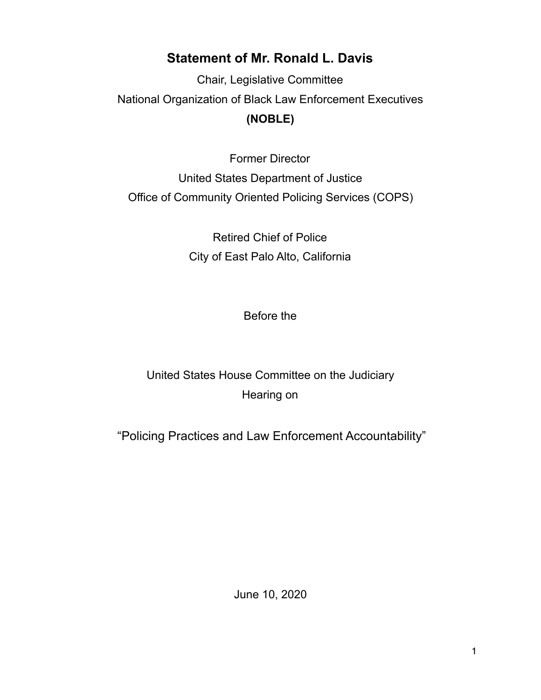## **Statement of Mr. Ronald L. Davis**

Chair, Legislative Committee National Organization of Black Law Enforcement Executives **(NOBLE)** 

Former Director United States Department of Justice Office of Community Oriented Policing Services (COPS)

> Retired Chief of Police City of East Palo Alto, California

> > Before the

United States House Committee on the Judiciary Hearing on

"Policing Practices and Law Enforcement Accountability"

June 10, 2020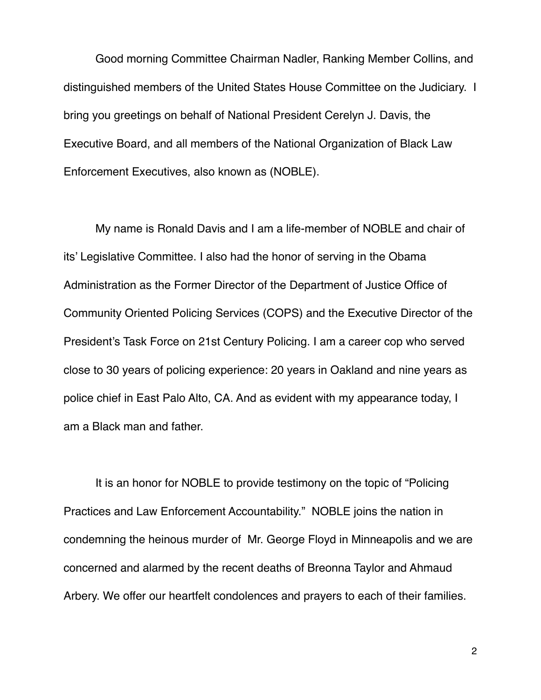Good morning Committee Chairman Nadler, Ranking Member Collins, and distinguished members of the United States House Committee on the Judiciary. I bring you greetings on behalf of National President Cerelyn J. Davis, the Executive Board, and all members of the National Organization of Black Law Enforcement Executives, also known as (NOBLE).

My name is Ronald Davis and I am a life-member of NOBLE and chair of its' Legislative Committee. I also had the honor of serving in the Obama Administration as the Former Director of the Department of Justice Office of Community Oriented Policing Services (COPS) and the Executive Director of the President's Task Force on 21st Century Policing. I am a career cop who served close to 30 years of policing experience: 20 years in Oakland and nine years as police chief in East Palo Alto, CA. And as evident with my appearance today, I am a Black man and father.

It is an honor for NOBLE to provide testimony on the topic of "Policing Practices and Law Enforcement Accountability." NOBLE joins the nation in condemning the heinous murder of Mr. George Floyd in Minneapolis and we are concerned and alarmed by the recent deaths of Breonna Taylor and Ahmaud Arbery. We offer our heartfelt condolences and prayers to each of their families.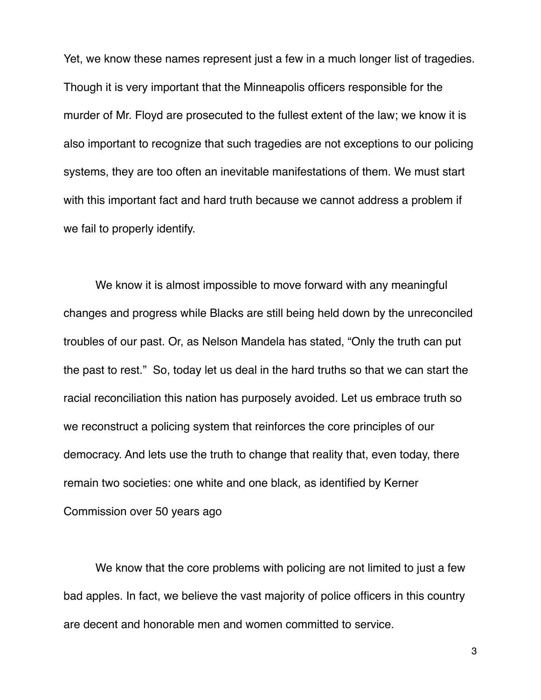Yet, we know these names represent just a few in a much longer list of tragedies. Though it is very important that the Minneapolis officers responsible for the murder of Mr. Floyd are prosecuted to the fullest extent of the law; we know it is also important to recognize that such tragedies are not exceptions to our policing systems, they are too often an inevitable manifestations of them. We must start with this important fact and hard truth because we cannot address a problem if we fail to properly identify.

We know it is almost impossible to move forward with any meaningful changes and progress while Blacks are still being held down by the unreconciled troubles of our past. Or, as Nelson Mandela has stated, "Only the truth can put the past to rest." So, today let us deal in the hard truths so that we can start the racial reconciliation this nation has purposely avoided. Let us embrace truth so we reconstruct a policing system that reinforces the core principles of our democracy. And lets use the truth to change that reality that, even today, there remain two societies: one white and one black, as identified by Kerner Commission over 50 years ago

We know that the core problems with policing are not limited to just a few bad apples. In fact, we believe the vast majority of police officers in this country are decent and honorable men and women committed to service.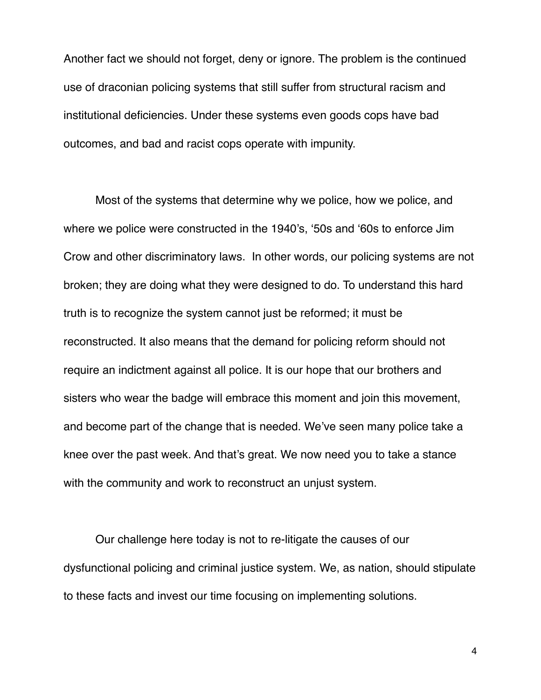Another fact we should not forget, deny or ignore. The problem is the continued use of draconian policing systems that still suffer from structural racism and institutional deficiencies. Under these systems even goods cops have bad outcomes, and bad and racist cops operate with impunity.

Most of the systems that determine why we police, how we police, and where we police were constructed in the 1940's, '50s and '60s to enforce Jim Crow and other discriminatory laws. In other words, our policing systems are not broken; they are doing what they were designed to do. To understand this hard truth is to recognize the system cannot just be reformed; it must be reconstructed. It also means that the demand for policing reform should not require an indictment against all police. It is our hope that our brothers and sisters who wear the badge will embrace this moment and join this movement, and become part of the change that is needed. We've seen many police take a knee over the past week. And that's great. We now need you to take a stance with the community and work to reconstruct an unjust system.

Our challenge here today is not to re-litigate the causes of our dysfunctional policing and criminal justice system. We, as nation, should stipulate to these facts and invest our time focusing on implementing solutions.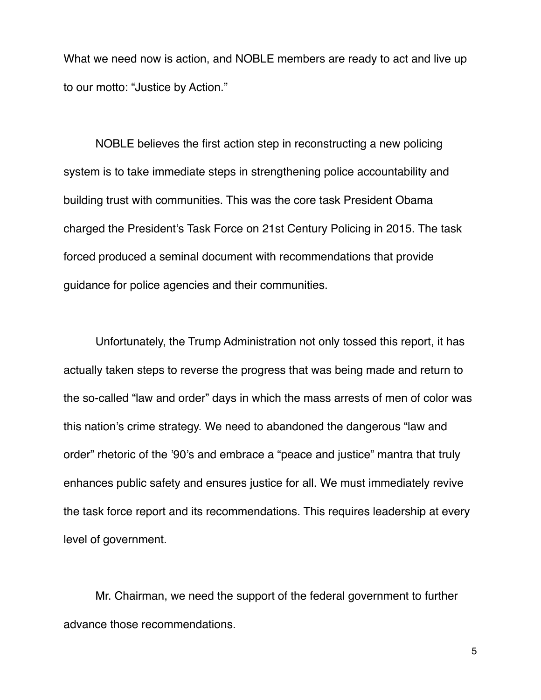What we need now is action, and NOBLE members are ready to act and live up to our motto: "Justice by Action."

NOBLE believes the first action step in reconstructing a new policing system is to take immediate steps in strengthening police accountability and building trust with communities. This was the core task President Obama charged the President's Task Force on 21st Century Policing in 2015. The task forced produced a seminal document with recommendations that provide guidance for police agencies and their communities.

Unfortunately, the Trump Administration not only tossed this report, it has actually taken steps to reverse the progress that was being made and return to the so-called "law and order" days in which the mass arrests of men of color was this nation's crime strategy. We need to abandoned the dangerous "law and order" rhetoric of the '90's and embrace a "peace and justice" mantra that truly enhances public safety and ensures justice for all. We must immediately revive the task force report and its recommendations. This requires leadership at every level of government.

Mr. Chairman, we need the support of the federal government to further advance those recommendations.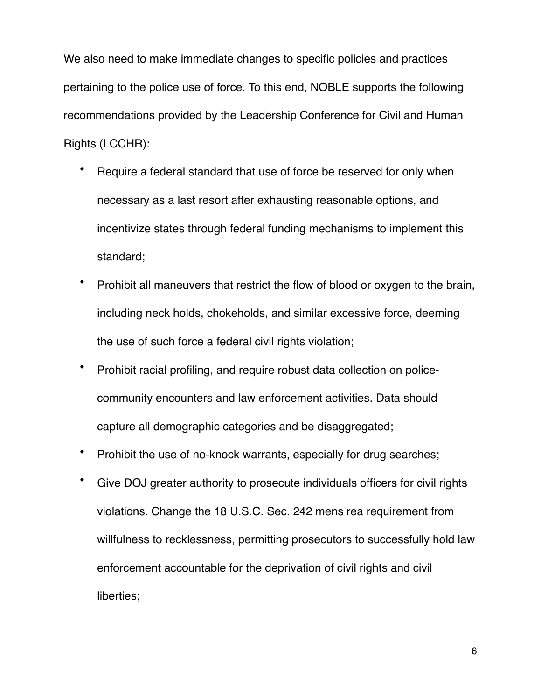We also need to make immediate changes to specific policies and practices pertaining to the police use of force. To this end, NOBLE supports the following recommendations provided by the Leadership Conference for Civil and Human Rights (LCCHR):

- Require a federal standard that use of force be reserved for only when necessary as a last resort after exhausting reasonable options, and incentivize states through federal funding mechanisms to implement this standard;
- Prohibit all maneuvers that restrict the flow of blood or oxygen to the brain, including neck holds, chokeholds, and similar excessive force, deeming the use of such force a federal civil rights violation;
- Prohibit racial profiling, and require robust data collection on policecommunity encounters and law enforcement activities. Data should capture all demographic categories and be disaggregated;
- Prohibit the use of no-knock warrants, especially for drug searches;
- Give DOJ greater authority to prosecute individuals officers for civil rights violations. Change the 18 U.S.C. Sec. 242 mens rea requirement from willfulness to recklessness, permitting prosecutors to successfully hold law enforcement accountable for the deprivation of civil rights and civil liberties;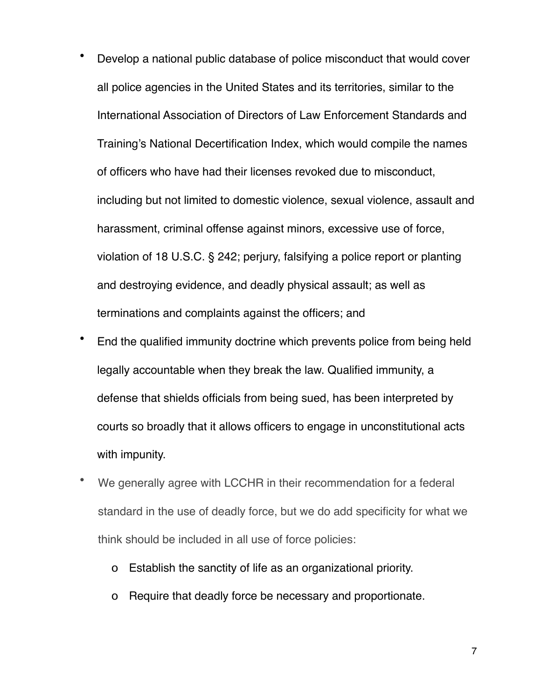- Develop a national public database of police misconduct that would cover all police agencies in the United States and its territories, similar to the International Association of Directors of Law Enforcement Standards and Training's National Decertification Index, which would compile the names of officers who have had their licenses revoked due to misconduct, including but not limited to domestic violence, sexual violence, assault and harassment, criminal offense against minors, excessive use of force, violation of 18 U.S.C. § 242; perjury, falsifying a police report or planting and destroying evidence, and deadly physical assault; as well as terminations and complaints against the officers; and
- End the qualified immunity doctrine which prevents police from being held legally accountable when they break the law. Qualified immunity, a defense that shields officials from being sued, has been interpreted by courts so broadly that it allows officers to engage in unconstitutional acts with impunity.
- We generally agree with LCCHR in their recommendation for a federal standard in the use of deadly force, but we do add specificity for what we think should be included in all use of force policies:
	- o Establish the sanctity of life as an organizational priority.
	- o Require that deadly force be necessary and proportionate.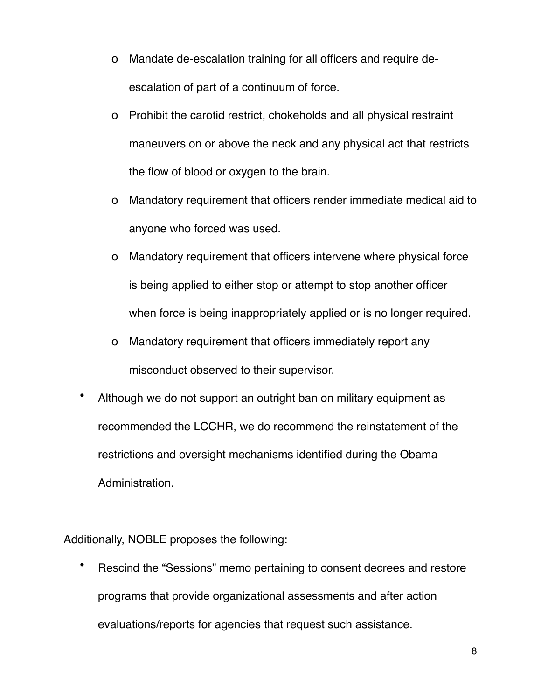- o Mandate de-escalation training for all officers and require deescalation of part of a continuum of force.
- o Prohibit the carotid restrict, chokeholds and all physical restraint maneuvers on or above the neck and any physical act that restricts the flow of blood or oxygen to the brain.
- o Mandatory requirement that officers render immediate medical aid to anyone who forced was used.
- o Mandatory requirement that officers intervene where physical force is being applied to either stop or attempt to stop another officer when force is being inappropriately applied or is no longer required.
- o Mandatory requirement that officers immediately report any misconduct observed to their supervisor.
- Although we do not support an outright ban on military equipment as recommended the LCCHR, we do recommend the reinstatement of the restrictions and oversight mechanisms identified during the Obama Administration.

Additionally, NOBLE proposes the following:

• Rescind the "Sessions" memo pertaining to consent decrees and restore programs that provide organizational assessments and after action evaluations/reports for agencies that request such assistance.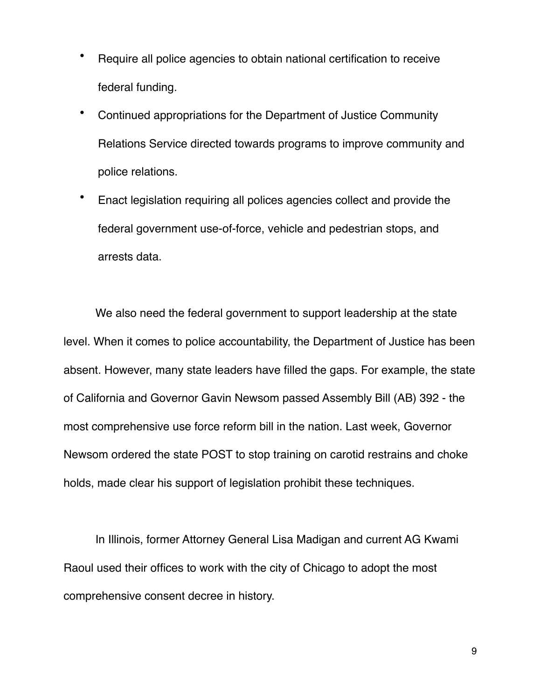- Require all police agencies to obtain national certification to receive federal funding.
- Continued appropriations for the Department of Justice Community Relations Service directed towards programs to improve community and police relations.
- Enact legislation requiring all polices agencies collect and provide the federal government use-of-force, vehicle and pedestrian stops, and arrests data.

We also need the federal government to support leadership at the state level. When it comes to police accountability, the Department of Justice has been absent. However, many state leaders have filled the gaps. For example, the state of California and Governor Gavin Newsom passed Assembly Bill (AB) 392 - the most comprehensive use force reform bill in the nation. Last week, Governor Newsom ordered the state POST to stop training on carotid restrains and choke holds, made clear his support of legislation prohibit these techniques.

In Illinois, former Attorney General Lisa Madigan and current AG Kwami Raoul used their offices to work with the city of Chicago to adopt the most comprehensive consent decree in history.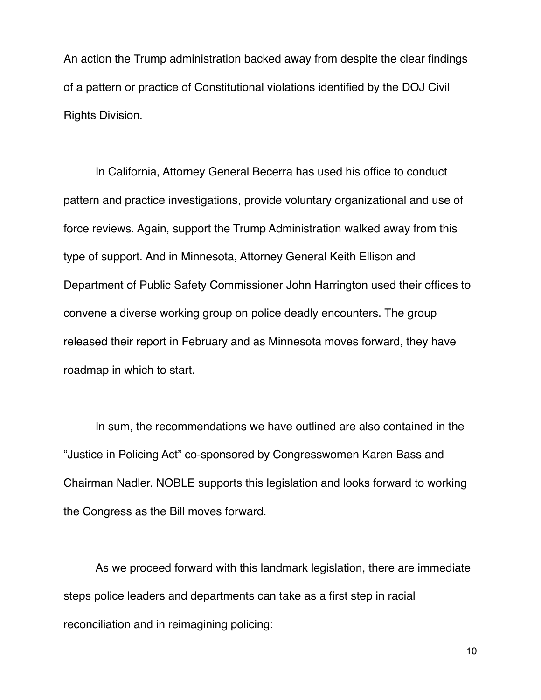An action the Trump administration backed away from despite the clear findings of a pattern or practice of Constitutional violations identified by the DOJ Civil Rights Division.

In California, Attorney General Becerra has used his office to conduct pattern and practice investigations, provide voluntary organizational and use of force reviews. Again, support the Trump Administration walked away from this type of support. And in Minnesota, Attorney General Keith Ellison and Department of Public Safety Commissioner John Harrington used their offices to convene a diverse working group on police deadly encounters. The group released their report in February and as Minnesota moves forward, they have roadmap in which to start.

In sum, the recommendations we have outlined are also contained in the "Justice in Policing Act" co-sponsored by Congresswomen Karen Bass and Chairman Nadler. NOBLE supports this legislation and looks forward to working the Congress as the Bill moves forward.

As we proceed forward with this landmark legislation, there are immediate steps police leaders and departments can take as a first step in racial reconciliation and in reimagining policing: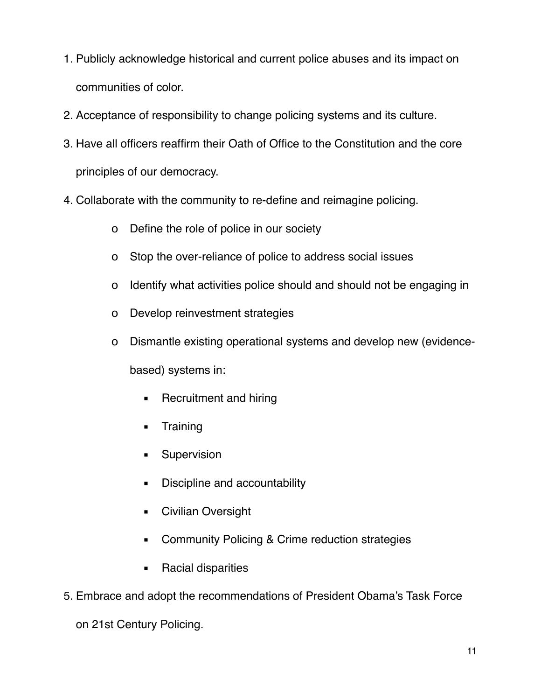- 1. Publicly acknowledge historical and current police abuses and its impact on communities of color.
- 2. Acceptance of responsibility to change policing systems and its culture.
- 3. Have all officers reaffirm their Oath of Office to the Constitution and the core principles of our democracy.
- 4. Collaborate with the community to re-define and reimagine policing.
	- o Define the role of police in our society
	- o Stop the over-reliance of police to address social issues
	- o Identify what activities police should and should not be engaging in
	- o Develop reinvestment strategies
	- o Dismantle existing operational systems and develop new (evidence-

based) systems in:

- Recruitment and hiring
- Training
- **E** Supervision
- **EXEC** Discipline and accountability
- Civilian Oversight
- Community Policing & Crime reduction strategies
- Racial disparities
- 5. Embrace and adopt the recommendations of President Obama's Task Force

on 21st Century Policing.